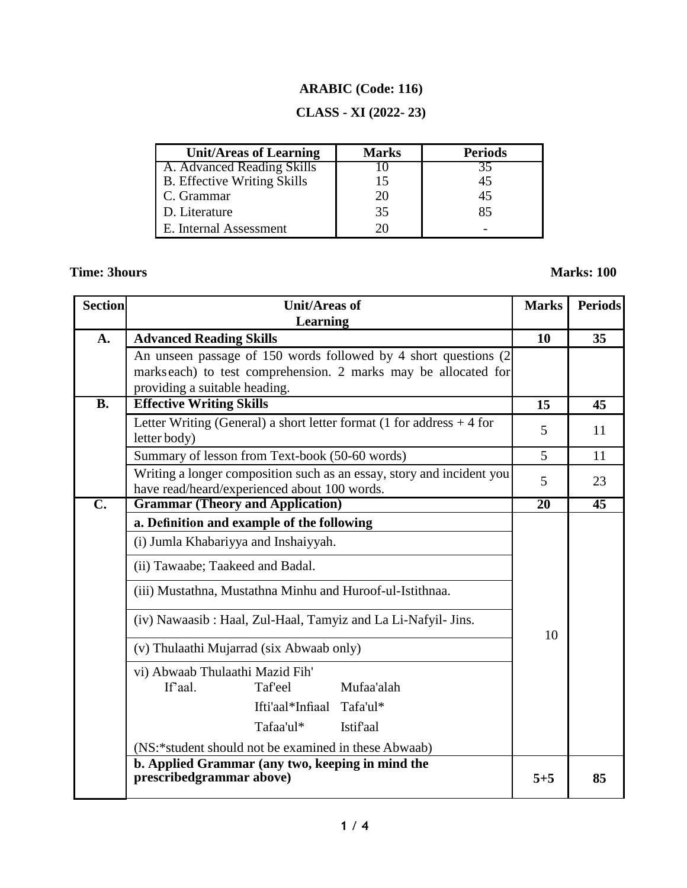# **ARABIC (Code: 116)**

## **CLASS - XI (2022- 23)**

| <b>Unit/Areas of Learning</b>      | <b>Marks</b> | <b>Periods</b> |
|------------------------------------|--------------|----------------|
| A. Advanced Reading Skills         |              |                |
| <b>B.</b> Effective Writing Skills |              | 45             |
| C. Grammar                         |              | 45             |
| D. Literature                      | 35           | 85             |
| E. Internal Assessment             |              |                |

# **Time: 3hours Marks: 100**

| <b>Section</b> | <b>Unit/Areas of</b>                                                                                                  | <b>Marks</b> | <b>Periods</b>  |
|----------------|-----------------------------------------------------------------------------------------------------------------------|--------------|-----------------|
| A.             | Learning<br><b>Advanced Reading Skills</b>                                                                            | 10           | 35 <sup>5</sup> |
|                | An unseen passage of 150 words followed by 4 short questions (2)                                                      |              |                 |
|                | marks each) to test comprehension. 2 marks may be allocated for                                                       |              |                 |
| <b>B.</b>      | providing a suitable heading.                                                                                         |              |                 |
|                | <b>Effective Writing Skills</b>                                                                                       | 15           | 45              |
|                | Letter Writing (General) a short letter format (1 for address $+4$ for<br>letter body)                                | 5            | 11              |
|                | Summary of lesson from Text-book (50-60 words)                                                                        | 5            | 11              |
|                | Writing a longer composition such as an essay, story and incident you<br>have read/heard/experienced about 100 words. | 5            | 23              |
| $\mathbf{C}$ . | <b>Grammar (Theory and Application)</b>                                                                               | 20           | $\overline{45}$ |
|                | a. Definition and example of the following                                                                            |              |                 |
|                | (i) Jumla Khabariyya and Inshaiyyah.                                                                                  |              |                 |
|                | (ii) Tawaabe; Taakeed and Badal.                                                                                      |              |                 |
|                | (iii) Mustathna, Mustathna Minhu and Huroof-ul-Istithnaa.                                                             |              |                 |
|                | (iv) Nawaasib: Haal, Zul-Haal, Tamyiz and La Li-Nafyil- Jins.                                                         | 10           |                 |
|                | (v) Thulaathi Mujarrad (six Abwaab only)                                                                              |              |                 |
|                | vi) Abwaab Thulaathi Mazid Fih'                                                                                       |              |                 |
|                | If'aal.<br><b>Taf'eel</b><br>Mufaa'alah                                                                               |              |                 |
|                | Ifti'aal*Infiaal<br>Tafa'ul*                                                                                          |              |                 |
|                | Tafaa'ul*<br><b>Istifaal</b>                                                                                          |              |                 |
|                | (NS:*student should not be examined in these Abwaab)                                                                  |              |                 |
|                | b. Applied Grammar (any two, keeping in mind the<br>prescribedgrammar above)                                          | $5 + 5$      | 85              |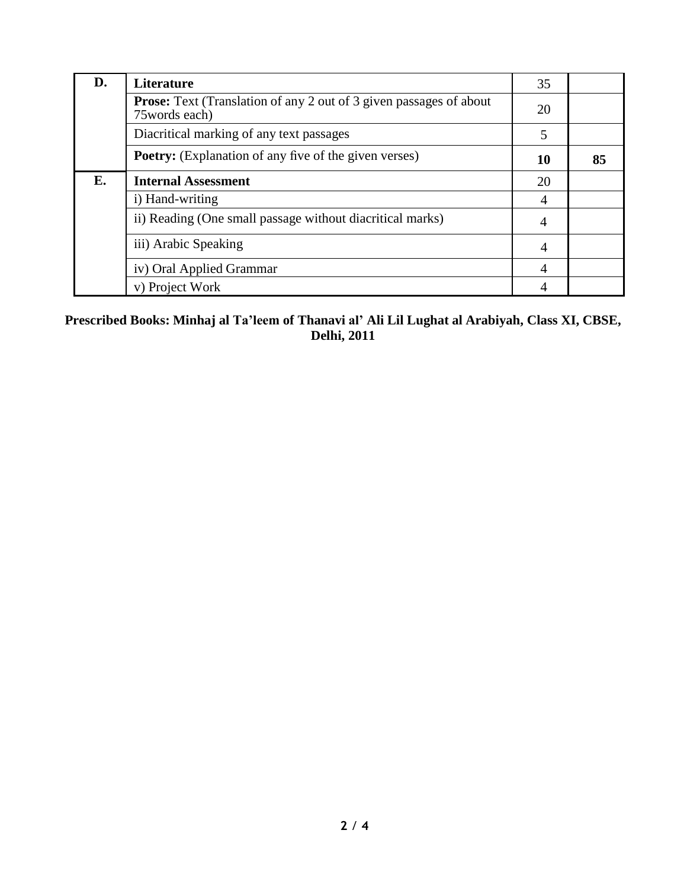| D. | <b>Literature</b>                                                                           | 35             |    |
|----|---------------------------------------------------------------------------------------------|----------------|----|
|    | <b>Prose:</b> Text (Translation of any 2 out of 3 given passages of about<br>75 words each) | 20             |    |
|    | Diacritical marking of any text passages                                                    | 5              |    |
|    | <b>Poetry:</b> (Explanation of any five of the given verses)                                | 10             | 85 |
| E. | <b>Internal Assessment</b>                                                                  | 20             |    |
|    | i) Hand-writing                                                                             | 4              |    |
|    | ii) Reading (One small passage without diacritical marks)                                   | 4              |    |
|    | iii) Arabic Speaking                                                                        | $\overline{4}$ |    |
|    | iv) Oral Applied Grammar                                                                    | $\overline{4}$ |    |
|    | v) Project Work                                                                             | $\overline{4}$ |    |

### **Prescribed Books: Minhaj al Ta'leem of Thanavi al' Ali Lil Lughat al Arabiyah, Class XI, CBSE, Delhi, 2011**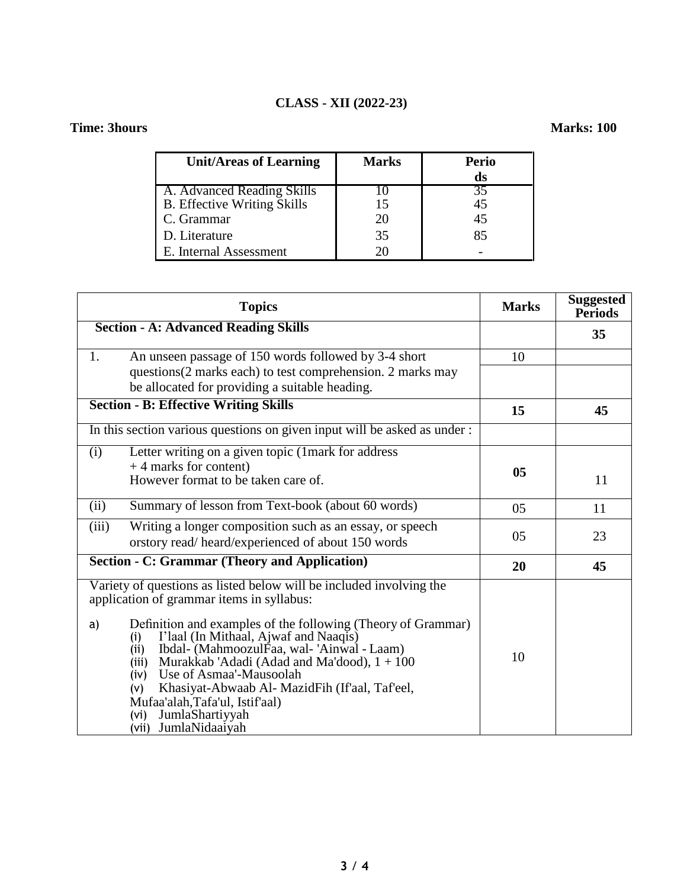### **CLASS - XII (2022-23)**

### **Time: 3hours Marks: 100**

| <b>Unit/Areas of Learning</b>      | <b>Marks</b> | <b>Perio</b> |
|------------------------------------|--------------|--------------|
|                                    |              | ds           |
| A. Advanced Reading Skills         |              | 35           |
| <b>B.</b> Effective Writing Skills |              | 45           |
| C. Grammar                         | 20           | 45           |
| D. Literature                      | 35           | 85           |
| E. Internal Assessment             |              |              |

|       | <b>Topics</b>                                                                                                                                                                                                                                                                                                                                                                                                                                                                                                                   | <b>Marks</b>   | <b>Suggested</b><br><b>Periods</b> |
|-------|---------------------------------------------------------------------------------------------------------------------------------------------------------------------------------------------------------------------------------------------------------------------------------------------------------------------------------------------------------------------------------------------------------------------------------------------------------------------------------------------------------------------------------|----------------|------------------------------------|
|       | <b>Section - A: Advanced Reading Skills</b>                                                                                                                                                                                                                                                                                                                                                                                                                                                                                     |                | 35                                 |
| 1.    | An unseen passage of 150 words followed by 3-4 short                                                                                                                                                                                                                                                                                                                                                                                                                                                                            | 10             |                                    |
|       | questions(2 marks each) to test comprehension. 2 marks may<br>be allocated for providing a suitable heading.                                                                                                                                                                                                                                                                                                                                                                                                                    |                |                                    |
|       | <b>Section - B: Effective Writing Skills</b>                                                                                                                                                                                                                                                                                                                                                                                                                                                                                    | 15             | 45                                 |
|       | In this section various questions on given input will be asked as under :                                                                                                                                                                                                                                                                                                                                                                                                                                                       |                |                                    |
| (i)   | Letter writing on a given topic (1mark for address<br>$+4$ marks for content)<br>However format to be taken care of.                                                                                                                                                                                                                                                                                                                                                                                                            | 0 <sub>5</sub> | 11                                 |
| (ii)  | Summary of lesson from Text-book (about 60 words)                                                                                                                                                                                                                                                                                                                                                                                                                                                                               | 05             | 11                                 |
| (iii) | Writing a longer composition such as an essay, or speech<br>orstory read/heard/experienced of about 150 words                                                                                                                                                                                                                                                                                                                                                                                                                   | 05             | 23                                 |
|       | <b>Section - C: Grammar (Theory and Application)</b>                                                                                                                                                                                                                                                                                                                                                                                                                                                                            | 20             | 45                                 |
| a)    | Variety of questions as listed below will be included involving the<br>application of grammar items in syllabus:<br>Definition and examples of the following (Theory of Grammar)<br>I'laal (In Mithaal, Ajwaf and Naaqis)<br>(i)<br>Ibdal- (MahmoozulFaa, wal- 'Ainwal - Laam)<br>(i)<br>Murakkab 'Adadi (Adad and Ma'dood), 1 + 100<br>(iii)<br>Use of Asmaa'-Mausoolah<br>(iv)<br>Khasiyat-Abwaab Al- MazidFih (If'aal, Taf'eel,<br>(v)<br>Mufaa'alah, Tafa'ul, Istif'aal)<br>JumlaShartiyyah<br>(vi)<br>(vii) JumlaNidaaiyah | 10             |                                    |